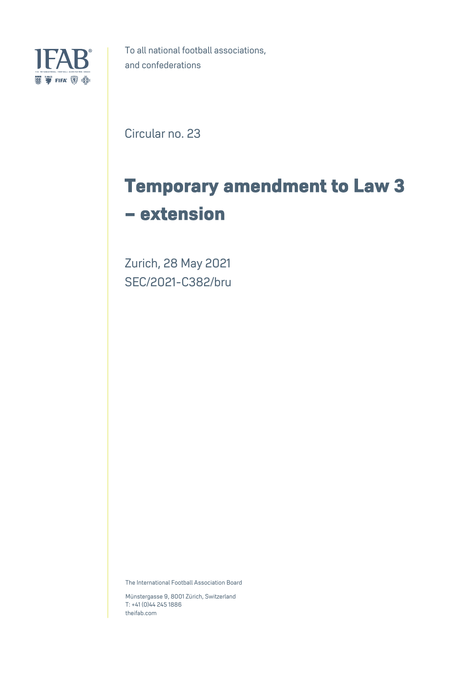

To all national football associations, and confederations

Circular no. 23

## **Temporary amendment to Law 3 – extension**

Zurich, 28 May 2021 SEC/2021-C382/bru

The International Football Association Board

Münstergasse 9, 8001 Zürich, Switzerland T: +41 (0)44 245 1886 theifab.com